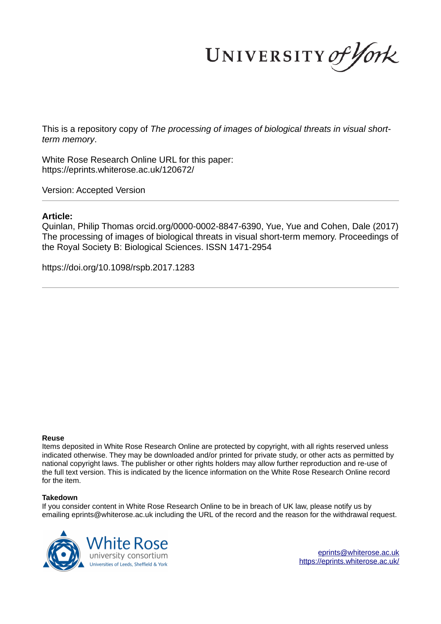UNIVERSITY of York

This is a repository copy of *The processing of images of biological threats in visual shortterm memory*.

White Rose Research Online URL for this paper: https://eprints.whiterose.ac.uk/120672/

Version: Accepted Version

## **Article:**

Quinlan, Philip Thomas orcid.org/0000-0002-8847-6390, Yue, Yue and Cohen, Dale (2017) The processing of images of biological threats in visual short-term memory. Proceedings of the Royal Society B: Biological Sciences. ISSN 1471-2954

https://doi.org/10.1098/rspb.2017.1283

#### **Reuse**

Items deposited in White Rose Research Online are protected by copyright, with all rights reserved unless indicated otherwise. They may be downloaded and/or printed for private study, or other acts as permitted by national copyright laws. The publisher or other rights holders may allow further reproduction and re-use of the full text version. This is indicated by the licence information on the White Rose Research Online record for the item.

## **Takedown**

If you consider content in White Rose Research Online to be in breach of UK law, please notify us by emailing eprints@whiterose.ac.uk including the URL of the record and the reason for the withdrawal request.



eprints@whiterose.ac.uk https://eprints.whiterose.ac.uk/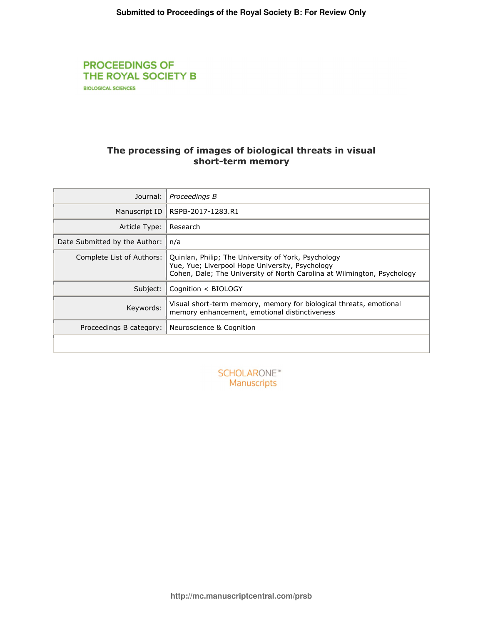# **PROCEEDINGS OF** THE ROYAL SOCIETY B **BIOLOGICAL SCIENCES**

# The processing of images of biological threats in visual short-term memory

| Journal:                      | Proceedings B                                                                                                                                                                     |
|-------------------------------|-----------------------------------------------------------------------------------------------------------------------------------------------------------------------------------|
| Manuscript ID                 | RSPB-2017-1283.R1                                                                                                                                                                 |
| Article Type:                 | Research                                                                                                                                                                          |
| Date Submitted by the Author: | n/a                                                                                                                                                                               |
| Complete List of Authors:     | Quinlan, Philip; The University of York, Psychology<br>Yue, Yue; Liverpool Hope University, Psychology<br>Cohen, Dale; The University of North Carolina at Wilmington, Psychology |
| Subject:                      | Cognition < BIOLOGY                                                                                                                                                               |
| Keywords:                     | Visual short-term memory, memory for biological threats, emotional<br>memory enhancement, emotional distinctiveness                                                               |
| Proceedings B category:       | Neuroscience & Cognition                                                                                                                                                          |
|                               |                                                                                                                                                                                   |

| <b>SCHOLARONE</b> <sup>®</sup> |  |
|--------------------------------|--|
| <b>Manuscripts</b>             |  |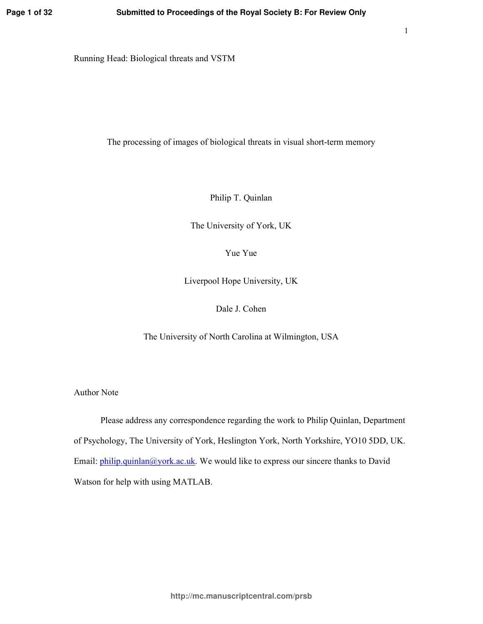Running Head: Biological threats and VSTM

The processing of images of biological threats in visual short-term memory

Philip T. Quinlan

The University of York, UK

Yue Yue

Liverpool Hope University, UK

Dale J. Cohen

The University of North Carolina at Wilmington, USA

**Author Note** 

Please address any correspondence regarding the work to Philip Quinlan, Department of Psychology, The University of York, Heslington York, North Yorkshire, YO10 5DD, UK. Email:  $\frac{\text{philip.}$  quinlan@york.ac.uk. We would like to express our sincere thanks to David Watson for help with using MATLAB.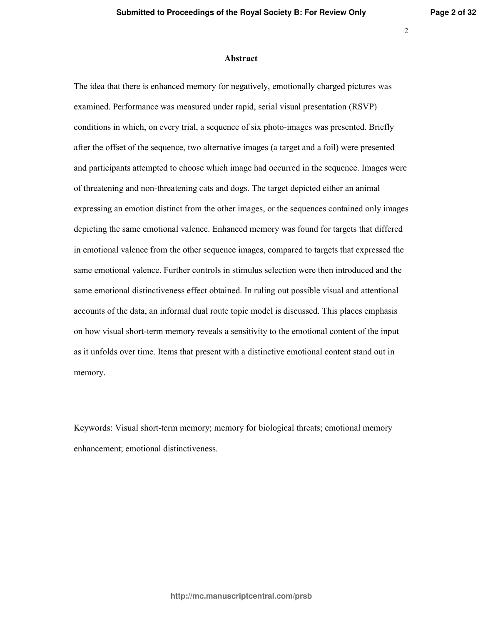## **Abstract**

The idea that there is enhanced memory for negatively, emotionally charged pictures was examined. Performance was measured under rapid, serial visual presentation (RSVP) conditions in which, on every trial, a sequence of six photo-images was presented. Briefly after the offset of the sequence, two alternative images (a target and a foil) were presented and participants attempted to choose which image had occurred in the sequence. Images were of threatening and non-threatening cats and dogs. The target depicted either an animal expressing an emotion distinct from the other images, or the sequences contained only images depicting the same emotional valence. Enhanced memory was found for targets that differed in emotional valence from the other sequence images, compared to targets that expressed the same emotional valence. Further controls in stimulus selection were then introduced and the same emotional distinctiveness effect obtained. In ruling out possible visual and attentional accounts of the data, an informal dual route topic model is discussed. This places emphasis on how visual short-term memory reveals a sensitivity to the emotional content of the input as it unfolds over time. Items that present with a distinctive emotional content stand out in memory.

Keywords: Visual short-term memory; memory for biological threats; emotional memory enhancement; emotional distinctiveness.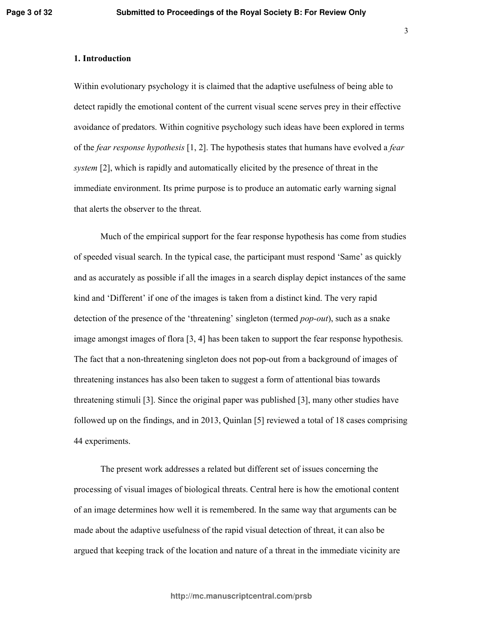## 1. Introduction

Within evolutionary psychology it is claimed that the adaptive usefulness of being able to detect rapidly the emotional content of the current visual scene serves prey in their effective avoidance of predators. Within cognitive psychology such ideas have been explored in terms of the *fear response hypothesis* [1, 2]. The hypothesis states that humans have evolved a *fear system* [2], which is rapidly and automatically elicited by the presence of threat in the immediate environment. Its prime purpose is to produce an automatic early warning signal that alerts the observer to the threat.

Much of the empirical support for the fear response hypothesis has come from studies of speeded visual search. In the typical case, the participant must respond 'Same' as quickly and as accurately as possible if all the images in a search display depict instances of the same kind and 'Different' if one of the images is taken from a distinct kind. The very rapid detection of the presence of the 'threatening' singleton (termed *pop-out*), such as a snake image amongst images of flora  $[3, 4]$  has been taken to support the fear response hypothesis. The fact that a non-threatening singleton does not pop-out from a background of images of threatening instances has also been taken to suggest a form of attentional bias towards threatening stimuli [3]. Since the original paper was published [3], many other studies have followed up on the findings, and in 2013, Quinlan  $[5]$  reviewed a total of 18 cases comprising 44 experiments.

The present work addresses a related but different set of issues concerning the processing of visual images of biological threats. Central here is how the emotional content of an image determines how well it is remembered. In the same way that arguments can be made about the adaptive usefulness of the rapid visual detection of threat, it can also be argued that keeping track of the location and nature of a threat in the immediate vicinity are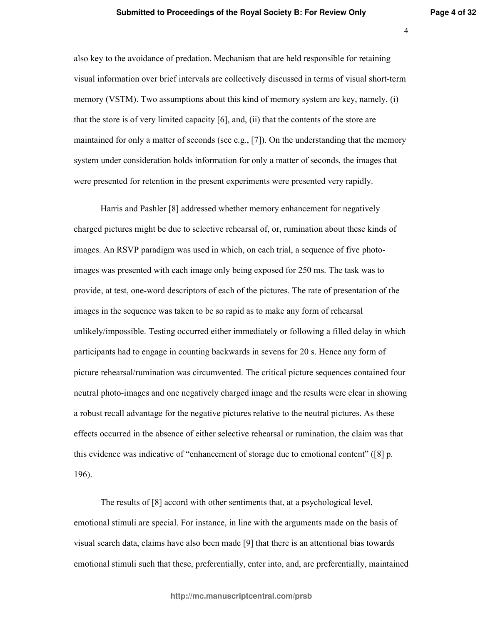$\overline{4}$ 

also key to the avoidance of predation. Mechanism that are held responsible for retaining visual information over brief intervals are collectively discussed in terms of visual short-term memory (VSTM). Two assumptions about this kind of memory system are key, namely, (i) that the store is of very limited capacity  $[6]$ , and, (ii) that the contents of the store are maintained for only a matter of seconds (see e.g., [7]). On the understanding that the memory system under consideration holds information for only a matter of seconds, the images that were presented for retention in the present experiments were presented very rapidly.

Harris and Pashler [8] addressed whether memory enhancement for negatively charged pictures might be due to selective rehearsal of, or, rumination about these kinds of images. An RSVP paradigm was used in which, on each trial, a sequence of five photoimages was presented with each image only being exposed for 250 ms. The task was to provide, at test, one-word descriptors of each of the pictures. The rate of presentation of the images in the sequence was taken to be so rapid as to make any form of rehearsal unlikely/impossible. Testing occurred either immediately or following a filled delay in which participants had to engage in counting backwards in sevens for 20 s. Hence any form of picture rehearsal/rumination was circumvented. The critical picture sequences contained four neutral photo-images and one negatively charged image and the results were clear in showing a robust recall advantage for the negative pictures relative to the neutral pictures. As these effects occurred in the absence of either selective rehearsal or rumination, the claim was that this evidence was indicative of "enhancement of storage due to emotional content" ([8] p. 196).

The results of [8] accord with other sentiments that, at a psychological level, emotional stimuli are special. For instance, in line with the arguments made on the basis of visual search data, claims have also been made [9] that there is an attentional bias towards emotional stimuli such that these, preferentially, enter into, and, are preferentially, maintained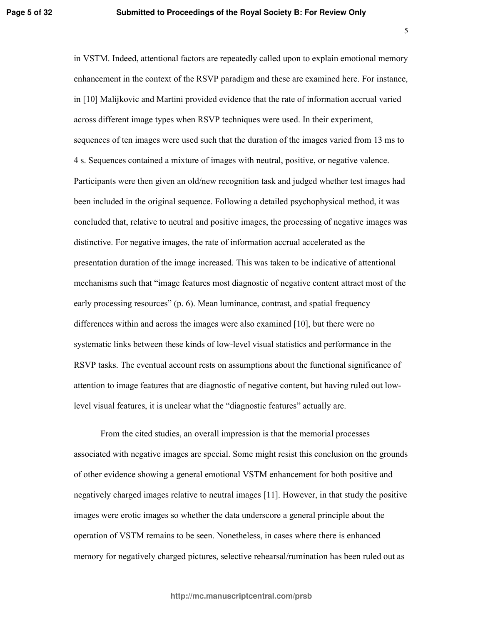in VSTM. Indeed, attentional factors are repeatedly called upon to explain emotional memory enhancement in the context of the RSVP paradigm and these are examined here. For instance, in [10] Malijkovic and Martini provided evidence that the rate of information accrual varied across different image types when RSVP techniques were used. In their experiment, sequences of ten images were used such that the duration of the images varied from 13 ms to 4 s. Sequences contained a mixture of images with neutral, positive, or negative valence. Participants were then given an old/new recognition task and judged whether test images had been included in the original sequence. Following a detailed psychophysical method, it was concluded that, relative to neutral and positive images, the processing of negative images was distinctive. For negative images, the rate of information accrual accelerated as the presentation duration of the image increased. This was taken to be indicative of attentional mechanisms such that "image features most diagnostic of negative content attract most of the early processing resources" (p. 6). Mean luminance, contrast, and spatial frequency differences within and across the images were also examined [10], but there were no systematic links between these kinds of low-level visual statistics and performance in the RSVP tasks. The eventual account rests on assumptions about the functional significance of attention to image features that are diagnostic of negative content, but having ruled out lowlevel visual features, it is unclear what the "diagnostic features" actually are.

From the cited studies, an overall impression is that the memorial processes associated with negative images are special. Some might resist this conclusion on the grounds of other evidence showing a general emotional VSTM enhancement for both positive and negatively charged images relative to neutral images [11]. However, in that study the positive images were erotic images so whether the data underscore a general principle about the operation of VSTM remains to be seen. Nonetheless, in cases where there is enhanced memory for negatively charged pictures, selective rehearsal/rumination has been ruled out as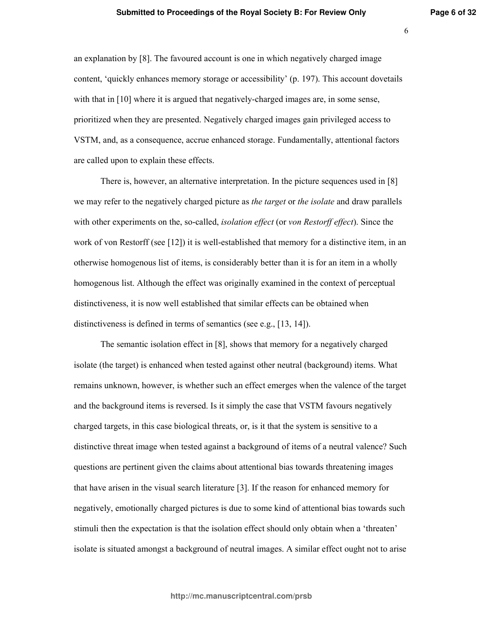$6\overline{6}$ 

an explanation by [8]. The favoured account is one in which negatively charged image content, 'quickly enhances memory storage or accessibility' (p. 197). This account dovetails with that in [10] where it is argued that negatively-charged images are, in some sense, prioritized when they are presented. Negatively charged images gain privileged access to VSTM, and, as a consequence, accrue enhanced storage. Fundamentally, attentional factors are called upon to explain these effects.

There is, however, an alternative interpretation. In the picture sequences used in  $[8]$ we may refer to the negatively charged picture as the target or the isolate and draw parallels with other experiments on the, so-called, *isolation effect* (or von Restorff effect). Since the work of von Restorff (see  $[12]$ ) it is well-established that memory for a distinctive item, in an otherwise homogenous list of items, is considerably better than it is for an item in a wholly homogenous list. Although the effect was originally examined in the context of perceptual distinctiveness, it is now well established that similar effects can be obtained when distinctiveness is defined in terms of semantics (see e.g.,  $[13, 14]$ ).

The semantic isolation effect in [8], shows that memory for a negatively charged isolate (the target) is enhanced when tested against other neutral (background) items. What remains unknown, however, is whether such an effect emerges when the valence of the target and the background items is reversed. Is it simply the case that VSTM favours negatively charged targets, in this case biological threats, or, is it that the system is sensitive to a distinctive threat image when tested against a background of items of a neutral valence? Such questions are pertinent given the claims about attentional bias towards threatening images that have arisen in the visual search literature [3]. If the reason for enhanced memory for negatively, emotionally charged pictures is due to some kind of attentional bias towards such stimuli then the expectation is that the isolation effect should only obtain when a 'threaten' isolate is situated amongst a background of neutral images. A similar effect ought not to arise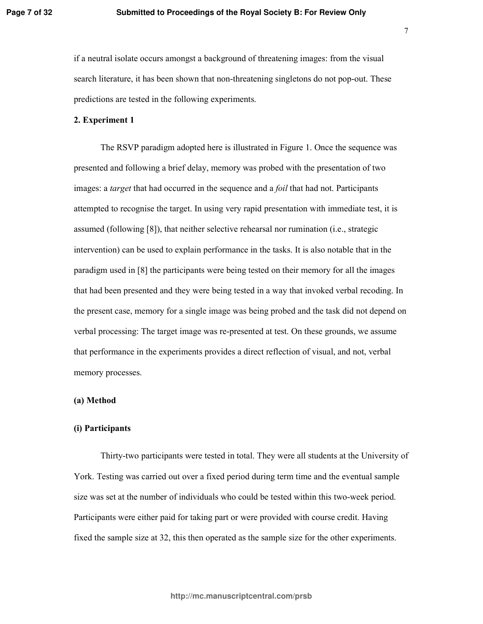$\overline{7}$ 

if a neutral isolate occurs amongst a background of threatening images: from the visual search literature, it has been shown that non-threatening singletons do not pop-out. These predictions are tested in the following experiments.

## 2. Experiment 1

The RSVP paradigm adopted here is illustrated in Figure 1. Once the sequence was presented and following a brief delay, memory was probed with the presentation of two images: a *target* that had occurred in the sequence and a *foil* that had not. Participants attempted to recognise the target. In using very rapid presentation with immediate test, it is assumed (following [8]), that neither selective rehearsal nor rumination (i.e., strategic intervention) can be used to explain performance in the tasks. It is also notable that in the paradigm used in [8] the participants were being tested on their memory for all the images that had been presented and they were being tested in a way that invoked verbal recoding. In the present case, memory for a single image was being probed and the task did not depend on verbal processing: The target image was re-presented at test. On these grounds, we assume that performance in the experiments provides a direct reflection of visual, and not, verbal memory processes.

## (a) Method

## (i) Participants

Thirty-two participants were tested in total. They were all students at the University of York. Testing was carried out over a fixed period during term time and the eventual sample size was set at the number of individuals who could be tested within this two-week period. Participants were either paid for taking part or were provided with course credit. Having fixed the sample size at 32, this then operated as the sample size for the other experiments.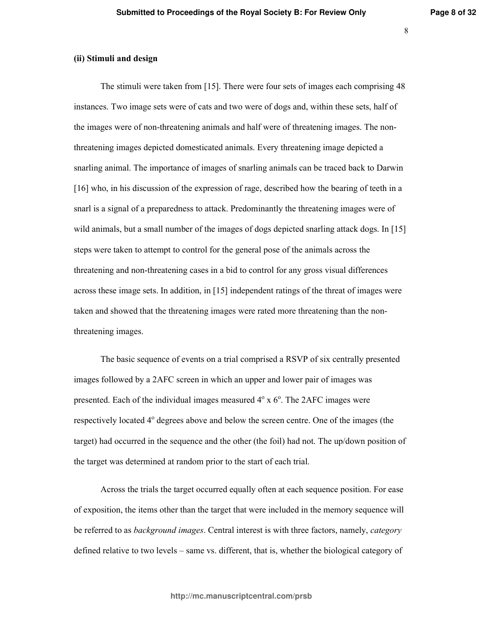## (ii) Stimuli and design

The stimuli were taken from  $[15]$ . There were four sets of images each comprising 48 instances. Two image sets were of cats and two were of dogs and, within these sets, half of the images were of non-threatening animals and half were of threatening images. The nonthreatening images depicted domesticated animals. Every threatening image depicted a snarling animal. The importance of images of snarling animals can be traced back to Darwin [16] who, in his discussion of the expression of rage, described how the bearing of teeth in a snarl is a signal of a preparedness to attack. Predominantly the threatening images were of wild animals, but a small number of the images of dogs depicted snarling attack dogs. In [15] steps were taken to attempt to control for the general pose of the animals across the threatening and non-threatening cases in a bid to control for any gross visual differences across these image sets. In addition, in  $[15]$  independent ratings of the threat of images were taken and showed that the threatening images were rated more threatening than the nonthreatening images.

The basic sequence of events on a trial comprised a RSVP of six centrally presented images followed by a 2AFC screen in which an upper and lower pair of images was presented. Each of the individual images measured  $4^\circ \times 6^\circ$ . The 2AFC images were respectively located 4° degrees above and below the screen centre. One of the images (the target) had occurred in the sequence and the other (the foil) had not. The up/down position of the target was determined at random prior to the start of each trial.

Across the trials the target occurred equally often at each sequence position. For ease of exposition, the items other than the target that were included in the memory sequence will be referred to as *background images*. Central interest is with three factors, namely, *category* defined relative to two levels – same vs. different, that is, whether the biological category of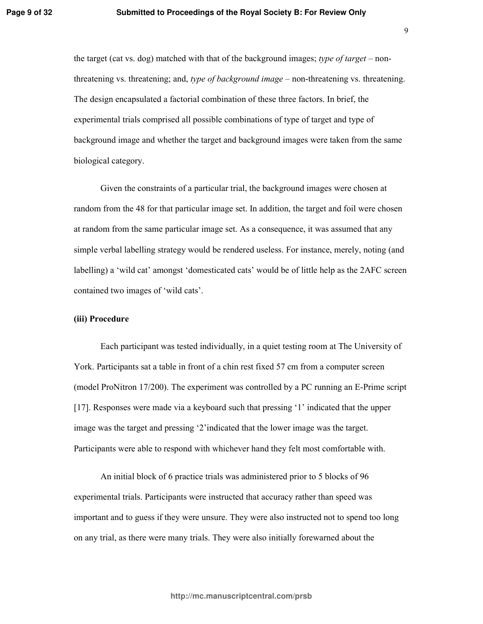the target (cat vs. dog) matched with that of the background images; type of target – nonthreatening vs. threatening; and, type of background image – non-threatening vs. threatening. The design encapsulated a factorial combination of these three factors. In brief, the experimental trials comprised all possible combinations of type of target and type of background image and whether the target and background images were taken from the same biological category.

Given the constraints of a particular trial, the background images were chosen at random from the 48 for that particular image set. In addition, the target and foil were chosen at random from the same particular image set. As a consequence, it was assumed that any simple verbal labelling strategy would be rendered useless. For instance, merely, noting (and labelling) a 'wild cat' amongst 'domesticated cats' would be of little help as the 2AFC screen contained two images of 'wild cats'.

## (iii) Procedure

Each participant was tested individually, in a quiet testing room at The University of York. Participants sat a table in front of a chin rest fixed 57 cm from a computer screen (model ProNitron 17/200). The experiment was controlled by a PC running an E-Prime script [17]. Responses were made via a keyboard such that pressing '1' indicated that the upper image was the target and pressing '2' indicated that the lower image was the target. Participants were able to respond with whichever hand they felt most comfortable with.

An initial block of 6 practice trials was administered prior to 5 blocks of 96 experimental trials. Participants were instructed that accuracy rather than speed was important and to guess if they were unsure. They were also instructed not to spend too long on any trial, as there were many trials. They were also initially forewarned about the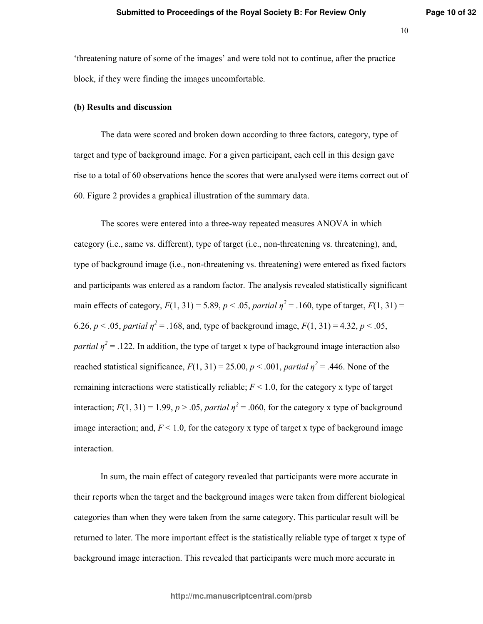-1

'threatening nature of some of the images' and were told not to continue, after the practice block, if they were finding the images uncomfortable.

## (b) Results and discussion

The data were scored and broken down according to three factors, category, type of target and type of background image. For a given participant, each cell in this design gave rise to a total of 60 observations hence the scores that were analysed were items correct out of 60. Figure 2 provides a graphical illustration of the summary data.

The scores were entered into a three-way repeated measures ANOVA in which category (i.e., same vs. different), type of target (i.e., non-threatening vs. threatening), and, type of background image (i.e., non-threatening vs. threatening) were entered as fixed factors and participants was entered as a random factor. The analysis revealed statistically significant main effects of category,  $F(1, 31) = 5.89$ ,  $p < .05$ , partial  $\eta^2 = .160$ , type of target,  $F(1, 31) =$ 6.26,  $p < .05$ , partial  $\eta^2 = .168$ , and, type of background image,  $F(1, 31) = 4.32$ ,  $p < .05$ , *partial*  $\eta^2$  = .122. In addition, the type of target x type of background image interaction also reached statistical significance,  $F(1, 31) = 25.00, p < .001$ , *partial*  $\eta^2 = .446$ . None of the remaining interactions were statistically reliable;  $F \leq 1.0$ , for the category x type of target interaction;  $F(1, 31) = 1.99$ ,  $p > .05$ , *partial*  $\eta^2 = .060$ , for the category x type of background image interaction; and,  $F \leq 1.0$ , for the category x type of target x type of background image interaction.

In sum, the main effect of category revealed that participants were more accurate in their reports when the target and the background images were taken from different biological categories than when they were taken from the same category. This particular result will be returned to later. The more important effect is the statistically reliable type of target x type of background image interaction. This revealed that participants were much more accurate in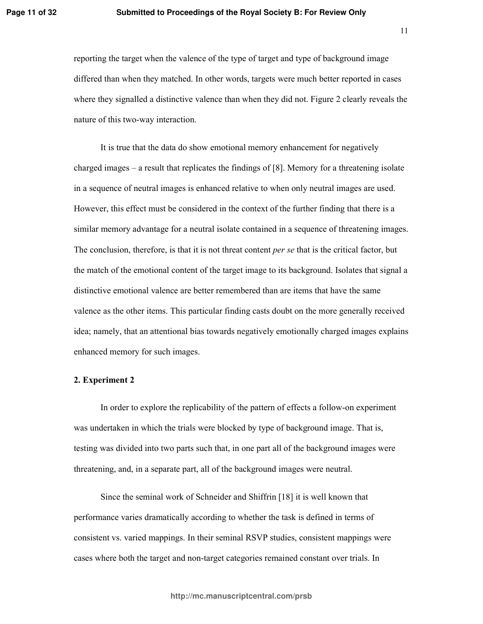## Submitted to Proceedings of the Royal Society B: For Review Only

11

reporting the target when the valence of the type of target and type of background image differed than when they matched. In other words, targets were much better reported in cases where they signalled a distinctive valence than when they did not. Figure 2 clearly reveals the nature of this two-way interaction.

It is true that the data do show emotional memory enhancement for negatively charged images  $-$  a result that replicates the findings of [8]. Memory for a threatening isolate in a sequence of neutral images is enhanced relative to when only neutral images are used. However, this effect must be considered in the context of the further finding that there is a similar memory advantage for a neutral isolate contained in a sequence of threatening images. The conclusion, therefore, is that it is not threat content *per se* that is the critical factor, but the match of the emotional content of the target image to its background. Isolates that signal a distinctive emotional valence are better remembered than are items that have the same valence as the other items. This particular finding casts doubt on the more generally received idea; namely, that an attentional bias towards negatively emotionally charged images explains enhanced memory for such images.

## 2. Experiment 2

In order to explore the replicability of the pattern of effects a follow-on experiment was undertaken in which the trials were blocked by type of background image. That is, testing was divided into two parts such that, in one part all of the background images were threatening, and, in a separate part, all of the background images were neutral.

Since the seminal work of Schneider and Shiffrin [18] it is well known that performance varies dramatically according to whether the task is defined in terms of consistent vs. varied mappings. In their seminal RSVP studies, consistent mappings were cases where both the target and non-target categories remained constant over trials. In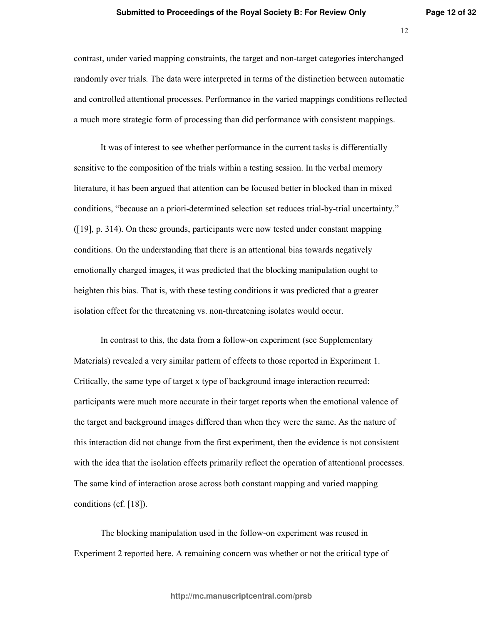contrast, under varied mapping constraints, the target and non-target categories interchanged randomly over trials. The data were interpreted in terms of the distinction between automatic and controlled attentional processes. Performance in the varied mappings conditions reflected a much more strategic form of processing than did performance with consistent mappings.

It was of interest to see whether performance in the current tasks is differentially sensitive to the composition of the trials within a testing session. In the verbal memory literature, it has been argued that attention can be focused better in blocked than in mixed conditions, "because an a priori-determined selection set reduces trial-by-trial uncertainty."  $([19]$ , p. 314). On these grounds, participants were now tested under constant mapping conditions. On the understanding that there is an attentional bias towards negatively emotionally charged images, it was predicted that the blocking manipulation ought to heighten this bias. That is, with these testing conditions it was predicted that a greater isolation effect for the threatening vs. non-threatening isolates would occur.

In contrast to this, the data from a follow-on experiment (see Supplementary Materials) revealed a very similar pattern of effects to those reported in Experiment 1. Critically, the same type of target x type of background image interaction recurred: participants were much more accurate in their target reports when the emotional valence of the target and background images differed than when they were the same. As the nature of this interaction did not change from the first experiment, then the evidence is not consistent with the idea that the isolation effects primarily reflect the operation of attentional processes. The same kind of interaction arose across both constant mapping and varied mapping conditions (cf.  $[18]$ ).

The blocking manipulation used in the follow-on experiment was reused in Experiment 2 reported here. A remaining concern was whether or not the critical type of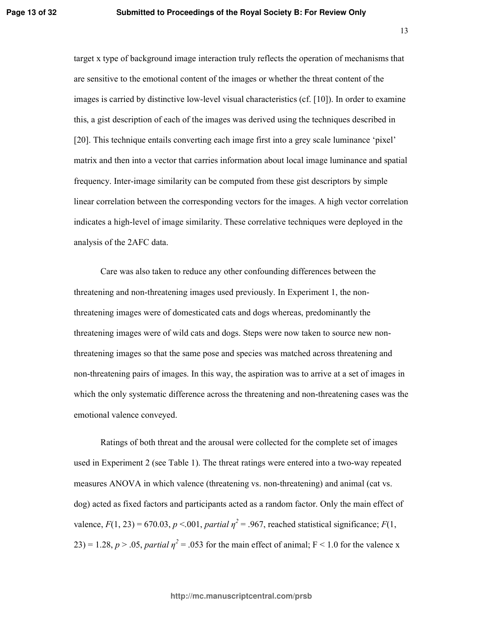target x type of background image interaction truly reflects the operation of mechanisms that are sensitive to the emotional content of the images or whether the threat content of the images is carried by distinctive low-level visual characteristics (cf. [10]). In order to examine this, a gist description of each of the images was derived using the techniques described in [20]. This technique entails converting each image first into a grey scale luminance 'pixel' matrix and then into a vector that carries information about local image luminance and spatial frequency. Inter-image similarity can be computed from these gist descriptors by simple linear correlation between the corresponding vectors for the images. A high vector correlation indicates a high-level of image similarity. These correlative techniques were deployed in the analysis of the 2AFC data.

Care was also taken to reduce any other confounding differences between the threatening and non-threatening images used previously. In Experiment 1, the nonthreatening images were of domesticated cats and dogs whereas, predominantly the threatening images were of wild cats and dogs. Steps were now taken to source new nonthreatening images so that the same pose and species was matched across threatening and non-threatening pairs of images. In this way, the aspiration was to arrive at a set of images in which the only systematic difference across the threatening and non-threatening cases was the emotional valence conveyed.

Ratings of both threat and the arousal were collected for the complete set of images used in Experiment 2 (see Table 1). The threat ratings were entered into a two-way repeated measures ANOVA in which valence (threatening vs. non-threatening) and animal (cat vs. dog) acted as fixed factors and participants acted as a random factor. Only the main effect of valence,  $F(1, 23) = 670.03$ ,  $p < 0.01$ , partial  $\eta^2 = .967$ , reached statistical significance;  $F(1, 23) = 670.03$ ,  $p < 0.01$ , partial  $\eta^2 = .967$ , reached statistical significance;  $F(1, 23) = 670.03$ 23) = 1.28,  $p > .05$ , partial  $\eta^2 = .053$  for the main effect of animal; F < 1.0 for the valence x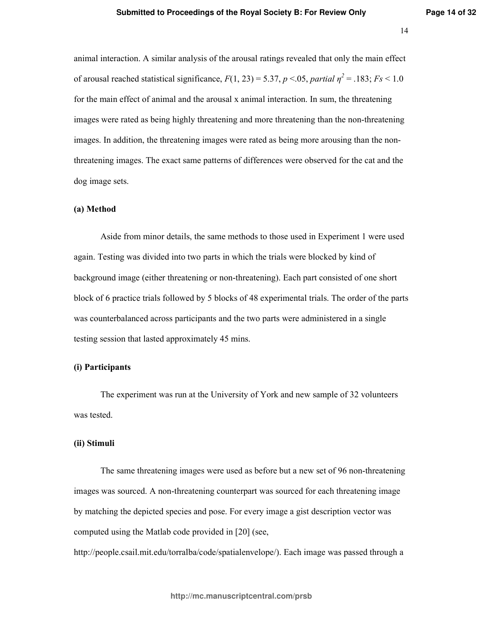animal interaction. A similar analysis of the arousal ratings revealed that only the main effect of arousal reached statistical significance,  $F(1, 23) = 5.37$ ,  $p < 0.05$ , partial  $\eta^2 = .183$ ;  $Fs < 1.0$ for the main effect of animal and the arousal x animal interaction. In sum, the threatening images were rated as being highly threatening and more threatening than the non-threatening images. In addition, the threatening images were rated as being more arousing than the nonthreatening images. The exact same patterns of differences were observed for the cat and the dog image sets.

## (a) Method

Aside from minor details, the same methods to those used in Experiment 1 were used again. Testing was divided into two parts in which the trials were blocked by kind of background image (either threatening or non-threatening). Each part consisted of one short block of 6 practice trials followed by 5 blocks of 48 experimental trials. The order of the parts was counterbalanced across participants and the two parts were administered in a single testing session that lasted approximately 45 mins.

## (i) Participants

The experiment was run at the University of York and new sample of 32 volunteers was tested.

#### (ii) Stimuli

The same threatening images were used as before but a new set of 96 non-threatening images was sourced. A non-threatening counterpart was sourced for each threatening image by matching the depicted species and pose. For every image a gist description vector was computed using the Matlab code provided in [20] (see,

http://people.csail.mit.edu/torralba/code/spatialenvelope/). Each image was passed through a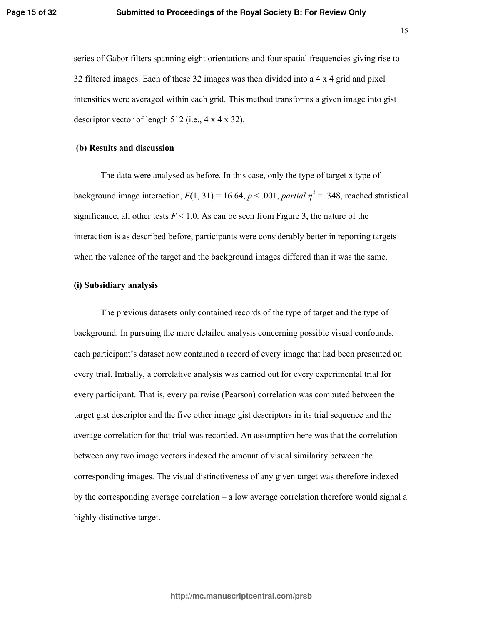series of Gabor filters spanning eight orientations and four spatial frequencies giving rise to 32 filtered images. Each of these 32 images was then divided into a 4 x 4 grid and pixel intensities were averaged within each grid. This method transforms a given image into gist descriptor vector of length 512 (i.e.,  $4 \times 4 \times 32$ ).

## (b) Results and discussion

The data were analysed as before. In this case, only the type of target x type of background image interaction,  $F(1, 31) = 16.64$ ,  $p < .001$ , partial  $\eta^2 = .348$ , reached statistical significance, all other tests  $F < 1.0$ . As can be seen from Figure 3, the nature of the interaction is as described before, participants were considerably better in reporting targets when the valence of the target and the background images differed than it was the same.

## (i) Subsidiary analysis

The previous datasets only contained records of the type of target and the type of background. In pursuing the more detailed analysis concerning possible visual confounds, each participant's dataset now contained a record of every image that had been presented on every trial. Initially, a correlative analysis was carried out for every experimental trial for every participant. That is, every pairwise (Pearson) correlation was computed between the target gist descriptor and the five other image gist descriptors in its trial sequence and the average correlation for that trial was recorded. An assumption here was that the correlation between any two image vectors indexed the amount of visual similarity between the corresponding images. The visual distinctiveness of any given target was therefore indexed by the corresponding average correlation  $-$  a low average correlation therefore would signal a highly distinctive target.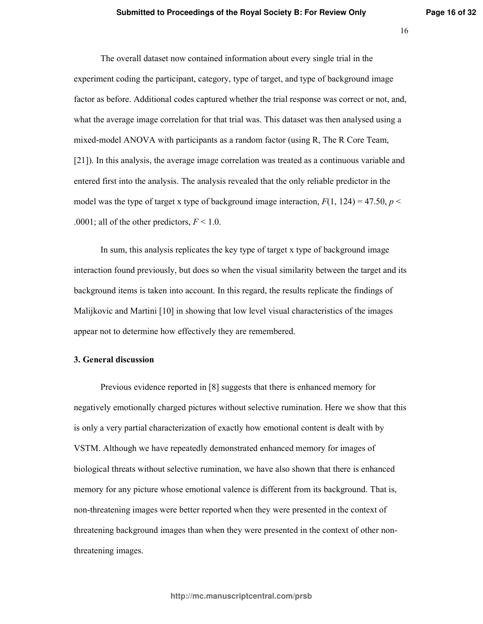The overall dataset now contained information about every single trial in the experiment coding the participant, category, type of target, and type of background image factor as before. Additional codes captured whether the trial response was correct or not, and, what the average image correlation for that trial was. This dataset was then analysed using a mixed-model ANOVA with participants as a random factor (using R, The R Core Team, [21]). In this analysis, the average image correlation was treated as a continuous variable and entered first into the analysis. The analysis revealed that the only reliable predictor in the model was the type of target x type of background image interaction,  $F(1, 124) = 47.50$ ,  $p <$ .0001; all of the other predictors,  $F < 1.0$ .

In sum, this analysis replicates the key type of target x type of background image interaction found previously, but does so when the visual similarity between the target and its background items is taken into account. In this regard, the results replicate the findings of Malijkovic and Martini [10] in showing that low level visual characteristics of the images appear not to determine how effectively they are remembered.

## 3. General discussion

Previous evidence reported in [8] suggests that there is enhanced memory for negatively emotionally charged pictures without selective rumination. Here we show that this is only a very partial characterization of exactly how emotional content is dealt with by VSTM. Although we have repeatedly demonstrated enhanced memory for images of biological threats without selective rumination, we have also shown that there is enhanced memory for any picture whose emotional valence is different from its background. That is, non-threatening images were better reported when they were presented in the context of threatening background images than when they were presented in the context of other nonthreatening images.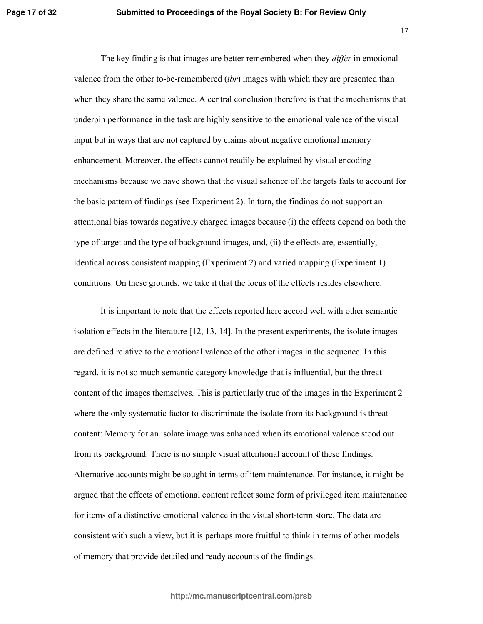The key finding is that images are better remembered when they *differ* in emotional valence from the other to-be-remembered *(tbr)* images with which they are presented than when they share the same valence. A central conclusion therefore is that the mechanisms that underpin performance in the task are highly sensitive to the emotional valence of the visual input but in ways that are not captured by claims about negative emotional memory enhancement. Moreover, the effects cannot readily be explained by visual encoding mechanisms because we have shown that the visual salience of the targets fails to account for the basic pattern of findings (see Experiment 2). In turn, the findings do not support an attentional bias towards negatively charged images because (i) the effects depend on both the type of target and the type of background images, and, (ii) the effects are, essentially, identical across consistent mapping (Experiment 2) and varied mapping (Experiment 1) conditions. On these grounds, we take it that the locus of the effects resides elsewhere.

It is important to note that the effects reported here accord well with other semantic isolation effects in the literature  $[12, 13, 14]$ . In the present experiments, the isolate images are defined relative to the emotional valence of the other images in the sequence. In this regard, it is not so much semantic category knowledge that is influential, but the threat content of the images themselves. This is particularly true of the images in the Experiment 2 where the only systematic factor to discriminate the isolate from its background is threat content: Memory for an isolate image was enhanced when its emotional valence stood out from its background. There is no simple visual attentional account of these findings. Alternative accounts might be sought in terms of item maintenance. For instance, it might be argued that the effects of emotional content reflect some form of privileged item maintenance for items of a distinctive emotional valence in the visual short-term store. The data are consistent with such a view, but it is perhaps more fruitful to think in terms of other models of memory that provide detailed and ready accounts of the findings.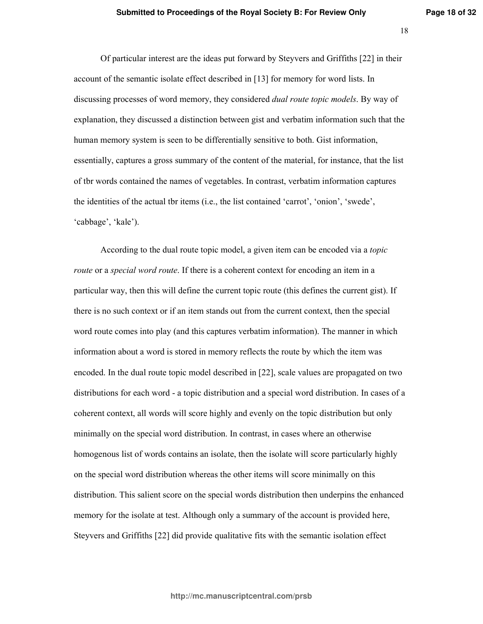-C

Of particular interest are the ideas put forward by Steyvers and Griffiths [22] in their account of the semantic isolate effect described in [13] for memory for word lists. In discussing processes of word memory, they considered *dual route topic models*. By way of explanation, they discussed a distinction between gist and verbatim information such that the human memory system is seen to be differentially sensitive to both. Gist information, essentially, captures a gross summary of the content of the material, for instance, that the list of tbr words contained the names of vegetables. In contrast, verbatim information captures the identities of the actual tbr items (i.e., the list contained 'carrot', 'onion', 'swede', 'cabbage', 'kale').

According to the dual route topic model, a given item can be encoded via a *topic route* or a *special word route*. If there is a coherent context for encoding an item in a particular way, then this will define the current topic route (this defines the current gist). If there is no such context or if an item stands out from the current context, then the special word route comes into play (and this captures verbatim information). The manner in which information about a word is stored in memory reflects the route by which the item was encoded. In the dual route topic model described in  $[22]$ , scale values are propagated on two distributions for each word - a topic distribution and a special word distribution. In cases of a coherent context, all words will score highly and evenly on the topic distribution but only minimally on the special word distribution. In contrast, in cases where an otherwise homogenous list of words contains an isolate, then the isolate will score particularly highly on the special word distribution whereas the other items will score minimally on this distribution. This salient score on the special words distribution then underpins the enhanced memory for the isolate at test. Although only a summary of the account is provided here, Steyvers and Griffiths [22] did provide qualitative fits with the semantic isolation effect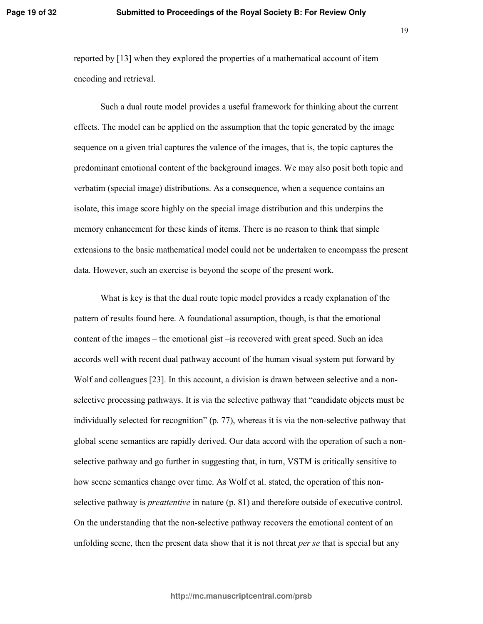reported by [13] when they explored the properties of a mathematical account of item encoding and retrieval.

Such a dual route model provides a useful framework for thinking about the current effects. The model can be applied on the assumption that the topic generated by the image sequence on a given trial captures the valence of the images, that is, the topic captures the predominant emotional content of the background images. We may also posit both topic and verbatim (special image) distributions. As a consequence, when a sequence contains an isolate, this image score highly on the special image distribution and this underpins the memory enhancement for these kinds of items. There is no reason to think that simple extensions to the basic mathematical model could not be undertaken to encompass the present data. However, such an exercise is beyond the scope of the present work.

What is key is that the dual route topic model provides a ready explanation of the pattern of results found here. A foundational assumption, though, is that the emotional content of the images – the emotional gist – is recovered with great speed. Such an idea accords well with recent dual pathway account of the human visual system put forward by Wolf and colleagues [23]. In this account, a division is drawn between selective and a nonselective processing pathways. It is via the selective pathway that "candidate objects must be individually selected for recognition" (p. 77), whereas it is via the non-selective pathway that global scene semantics are rapidly derived. Our data accord with the operation of such a nonselective pathway and go further in suggesting that, in turn, VSTM is critically sensitive to how scene semantics change over time. As Wolf et al. stated, the operation of this nonselective pathway is *preattentive* in nature (p. 81) and therefore outside of executive control. On the understanding that the non-selective pathway recovers the emotional content of an unfolding scene, then the present data show that it is not threat *per se* that is special but any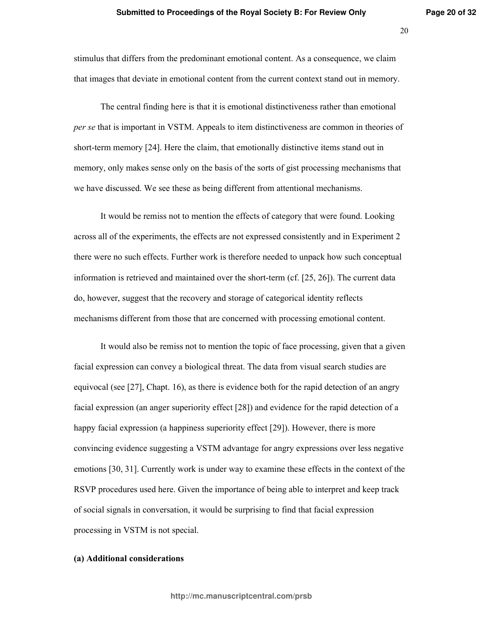stimulus that differs from the predominant emotional content. As a consequence, we claim that images that deviate in emotional content from the current context stand out in memory.

The central finding here is that it is emotional distinctiveness rather than emotional per se that is important in VSTM. Appeals to item distinctiveness are common in theories of short-term memory [24]. Here the claim, that emotionally distinctive items stand out in memory, only makes sense only on the basis of the sorts of gist processing mechanisms that we have discussed. We see these as being different from attentional mechanisms.

It would be remiss not to mention the effects of category that were found. Looking across all of the experiments, the effects are not expressed consistently and in Experiment 2 there were no such effects. Further work is therefore needed to unpack how such conceptual information is retrieved and maintained over the short-term (cf.  $[25, 26]$ ). The current data do, however, suggest that the recovery and storage of categorical identity reflects mechanisms different from those that are concerned with processing emotional content.

It would also be remiss not to mention the topic of face processing, given that a given facial expression can convey a biological threat. The data from visual search studies are equivocal (see [27], Chapt. 16), as there is evidence both for the rapid detection of an angry facial expression (an anger superiority effect [28]) and evidence for the rapid detection of a happy facial expression (a happiness superiority effect [29]). However, there is more convincing evidence suggesting a VSTM advantage for angry expressions over less negative emotions [30, 31]. Currently work is under way to examine these effects in the context of the RSVP procedures used here. Given the importance of being able to interpret and keep track of social signals in conversation, it would be surprising to find that facial expression processing in VSTM is not special.

## (a) Additional considerations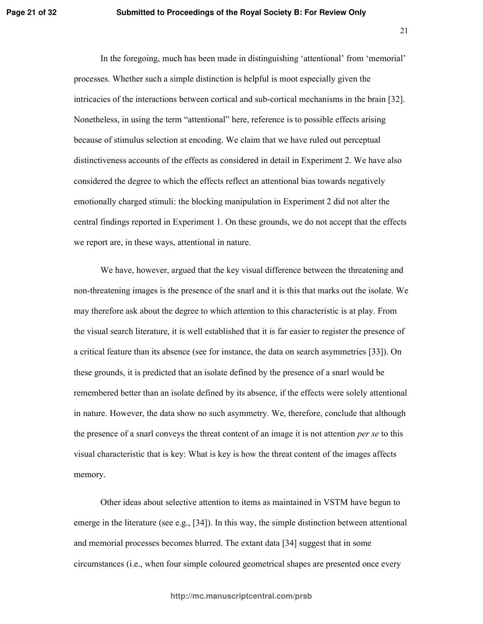In the foregoing, much has been made in distinguishing 'attentional' from 'memorial' processes. Whether such a simple distinction is helpful is moot especially given the intricacies of the interactions between cortical and sub-cortical mechanisms in the brain [32]. Nonetheless, in using the term "attentional" here, reference is to possible effects arising because of stimulus selection at encoding. We claim that we have ruled out perceptual distinctiveness accounts of the effects as considered in detail in Experiment 2. We have also considered the degree to which the effects reflect an attentional bias towards negatively emotionally charged stimuli: the blocking manipulation in Experiment 2 did not alter the central findings reported in Experiment 1. On these grounds, we do not accept that the effects we report are, in these ways, attentional in nature.

We have, however, argued that the key visual difference between the threatening and non-threatening images is the presence of the snarl and it is this that marks out the isolate. We may therefore ask about the degree to which attention to this characteristic is at play. From the visual search literature, it is well established that it is far easier to register the presence of a critical feature than its absence (see for instance, the data on search asymmetries [33]). On these grounds, it is predicted that an isolate defined by the presence of a snarl would be remembered better than an isolate defined by its absence, if the effects were solely attentional in nature. However, the data show no such asymmetry. We, therefore, conclude that although the presence of a snarl conveys the threat content of an image it is not attention *per se* to this visual characteristic that is key: What is key is how the threat content of the images affects memory.

Other ideas about selective attention to items as maintained in VSTM have begun to emerge in the literature (see e.g., [34]). In this way, the simple distinction between attentional and memorial processes becomes blurred. The extant data [34] suggest that in some circumstances (*i.e.*, when four simple coloured geometrical shapes are presented once every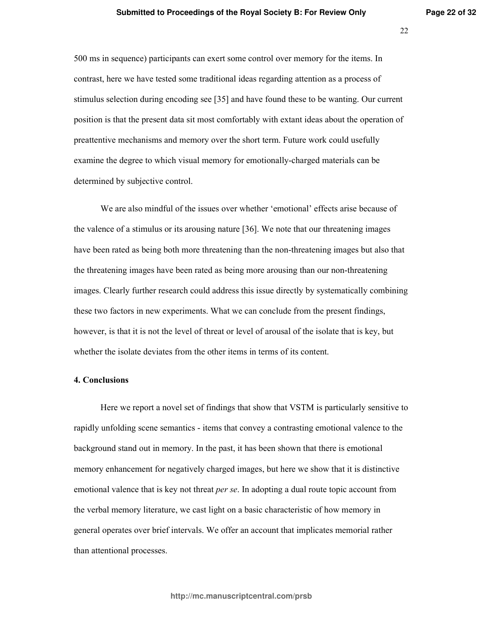500 ms in sequence) participants can exert some control over memory for the items. In contrast, here we have tested some traditional ideas regarding attention as a process of stimulus selection during encoding see [35] and have found these to be wanting. Our current position is that the present data sit most comfortably with extant ideas about the operation of preattentive mechanisms and memory over the short term. Future work could usefully examine the degree to which visual memory for emotionally-charged materials can be determined by subjective control.

We are also mindful of the issues over whether 'emotional' effects arise because of the valence of a stimulus or its arousing nature [36]. We note that our threatening images have been rated as being both more threatening than the non-threatening images but also that the threatening images have been rated as being more arousing than our non-threatening images. Clearly further research could address this issue directly by systematically combining these two factors in new experiments. What we can conclude from the present findings, however, is that it is not the level of threat or level of arousal of the isolate that is key, but whether the isolate deviates from the other items in terms of its content.

#### 4. Conclusions

Here we report a novel set of findings that show that VSTM is particularly sensitive to rapidly unfolding scene semantics - items that convey a contrasting emotional valence to the background stand out in memory. In the past, it has been shown that there is emotional memory enhancement for negatively charged images, but here we show that it is distinctive emotional valence that is key not threat *per se*. In adopting a dual route topic account from the verbal memory literature, we cast light on a basic characteristic of how memory in general operates over brief intervals. We offer an account that implicates memorial rather than attentional processes.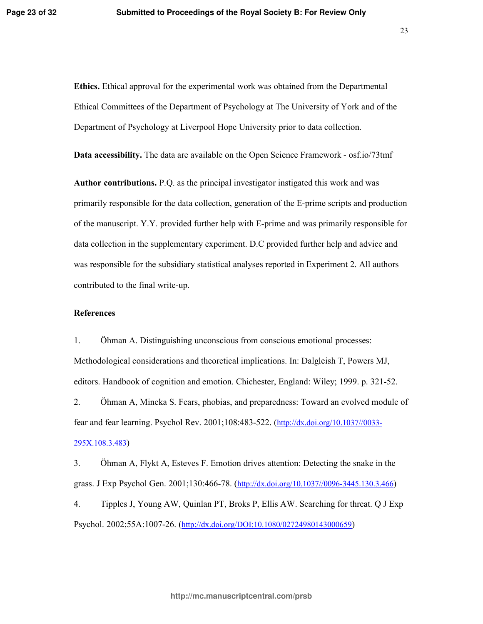Ethics. Ethical approval for the experimental work was obtained from the Departmental Ethical Committees of the Department of Psychology at The University of York and of the Department of Psychology at Liverpool Hope University prior to data collection.

**Data accessibility.** The data are available on the Open Science Framework - osf.io/73tmf

**Author contributions.** P.Q. as the principal investigator instigated this work and was primarily responsible for the data collection, generation of the E-prime scripts and production of the manuscript. Y.Y. provided further help with E-prime and was primarily responsible for data collection in the supplementary experiment. D.C provided further help and advice and was responsible for the subsidiary statistical analyses reported in Experiment 2. All authors contributed to the final write-up.

## **References**

 $1<sup>1</sup>$ Ohman A. Distinguishing unconscious from conscious emotional processes: Methodological considerations and theoretical implications. In: Dalgleish T, Powers MJ, editors. Handbook of cognition and emotion. Chichester, England: Wiley; 1999. p. 321-52.

 $2.$ Öhman A, Mineka S. Fears, phobias, and preparedness: Toward an evolved module of fear and fear learning. Psychol Rev. 2001;108:483-522. (http://dx.doi.org/10.1037//0033-295X.108.3.483)

 $3<sub>1</sub>$ Öhman A, Flykt A, Esteves F. Emotion drives attention: Detecting the snake in the grass. J Exp Psychol Gen. 2001;130:466-78. (http://dx.doi.org/10.1037//0096-3445.130.3.466)

 $4.$ Tipples J, Young AW, Quinlan PT, Broks P, Ellis AW. Searching for threat. Q J Exp Psychol. 2002;55A:1007-26. (http://dx.doi.org/DOI:10.1080/02724980143000659)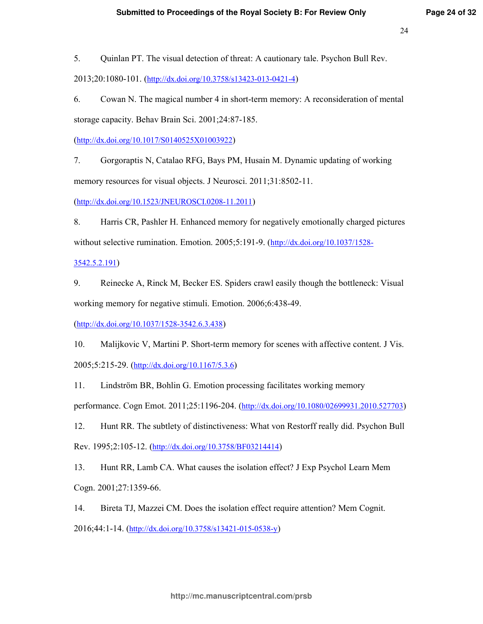5. Quinlan PT. The visual detection of threat: A cautionary tale. Psychon Bull Rev.

2013;20:1080-101. (http://dx.doi.org/10.3758/s13423-013-0421-4)

6. Cowan N. The magical number 4 in short-term memory: A reconsideration of mental storage capacity. Behav Brain Sci. 2001;24:87-185.

 $(\frac{http://dx.doi.org/10.1017/S0140525X01003922}{http://dx.doi.org/10.1017/S0140525X01003922})$ 

Gorgoraptis N, Catalao RFG, Bays PM, Husain M. Dynamic updating of working 7. memory resources for visual objects. J Neurosci. 2011;31:8502-11.

 $(\frac{http://dx.doi.org/10.1523/JNEUROSCI.0208-11.2011}{http://dx.doi.org/10.1523/JNEUROSCI.0208-11.2011})$ 

8. Harris CR, Pashler H. Enhanced memory for negatively emotionally charged pictures without selective rumination. Emotion. 2005;5:191-9. (http://dx.doi.org/10.1037/1528-

3542.5.2.191)

9. Reinecke A, Rinck M, Becker ES. Spiders crawl easily though the bottleneck: Visual working memory for negative stimuli. Emotion. 2006;6:438-49.

 $(http://dx.doi.org/10.1037/1528-3542.6.3.438)$ 

10. Malijkovic V, Martini P. Short-term memory for scenes with affective content. J Vis. 2005;5:215-29. (http://dx.doi.org/10.1167/5.3.6)

 $11.$ Lindström BR, Bohlin G. Emotion processing facilitates working memory

performance. Cogn Emot. 2011;25:1196-204. (http://dx.doi.org/10.1080/02699931.2010.527703)

12. Hunt RR. The subtlety of distinctiveness: What von Restorff really did. Psychon Bull Rev. 1995;2:105-12. (http://dx.doi.org/10.3758/BF03214414)

13. Hunt RR, Lamb CA. What causes the isolation effect? J Exp Psychol Learn Mem Cogn. 2001;27:1359-66.

14. Bireta TJ, Mazzei CM. Does the isolation effect require attention? Mem Cognit. 2016;44:1-14. (http://dx.doi.org/10.3758/s13421-015-0538-y)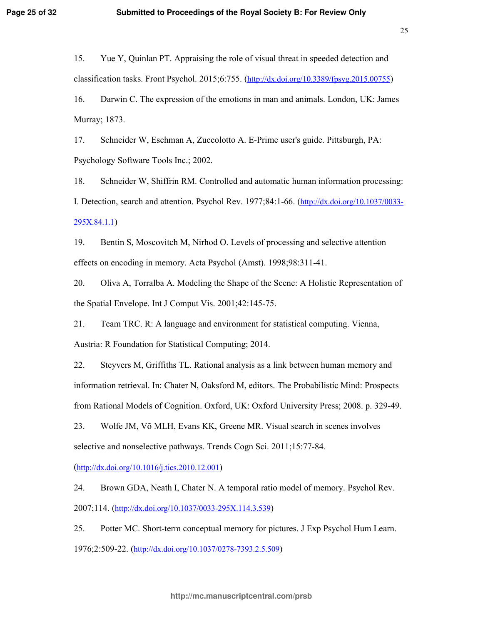15. Yue Y, Quinlan PT. Appraising the role of visual threat in speeded detection and classification tasks. Front Psychol. 2015;6:755.  $(\frac{http://dx.doi.org/10.3389/fpsyg.2015.00755)}$ 

16. Darwin C. The expression of the emotions in man and animals. London, UK: James Murray; 1873.

17. Schneider W, Eschman A, Zuccolotto A. E-Prime user's guide. Pittsburgh, PA: Psychology Software Tools Inc.; 2002.

18. Schneider W, Shiffrin RM. Controlled and automatic human information processing: I. Detection, search and attention. Psychol Rev.  $1977;84:1-66$ . (http://dx.doi.org/10.1037/0033- $295X.84.1.1)$ 

19. Bentin S, Moscovitch M, Nirhod O. Levels of processing and selective attention effects on encoding in memory. Acta Psychol (Amst). 1998;98:311-41.

20. Oliva A, Torralba A. Modeling the Shape of the Scene: A Holistic Representation of the Spatial Envelope. Int J Comput Vis. 2001;42:145-75.

 $21.$ Team TRC. R: A language and environment for statistical computing. Vienna, Austria: R Foundation for Statistical Computing: 2014.

22. Steyvers M, Griffiths TL. Rational analysis as a link between human memory and information retrieval. In: Chater N, Oaksford M, editors. The Probabilistic Mind: Prospects from Rational Models of Cognition. Oxford, UK: Oxford University Press; 2008. p. 329-49.

23. Wolfe JM, Võ MLH, Evans KK, Greene MR. Visual search in scenes involves selective and nonselective pathways. Trends Cogn Sci. 2011;15:77-84.

 $(\frac{http://dx.doi.org/10.1016/j.tics.2010.12.001}{http://dx.doi.org/10.1016/j.tics.2010.12.001})$ 

24 Brown GDA, Neath I, Chater N. A temporal ratio model of memory. Psychol Rev. 2007;114. (http://dx.doi.org/10.1037/0033-295X.114.3.539)

25. Potter MC. Short-term conceptual memory for pictures. J Exp Psychol Hum Learn. 1976;2:509-22. (http://dx.doi.org/10.1037/0278-7393.2.5.509)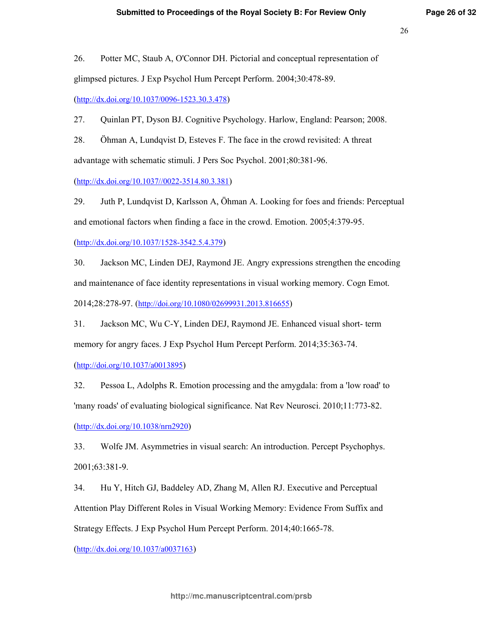26. Potter MC, Staub A, O'Connor DH. Pictorial and conceptual representation of glimpsed pictures. J Exp Psychol Hum Percept Perform. 2004;30:478-89.

(http://dx.doi.org/10.1037/0096-1523.30.3.478)

27. Quinlan PT, Dyson BJ. Cognitive Psychology. Harlow, England: Pearson; 2008.

28. Ohman A, Lundqvist D, Esteves F. The face in the crowd revisited: A threat advantage with schematic stimuli. J Pers Soc Psychol. 2001;80:381-96.

 $(\frac{http://dx.doi.org/10.1037/0022-3514.80.3.381})$ 

Juth P, Lundqvist D, Karlsson A, Öhman A. Looking for foes and friends: Perceptual 29 and emotional factors when finding a face in the crowd. Emotion. 2005;4:379-95.

 $(\frac{http://dx.doi.org/10.1037/1528-3542.5.4.379}{http://dx.doi.org/10.1037/1528-3542.5.4.379})$ 

 $30<sub>1</sub>$ Jackson MC, Linden DEJ, Raymond JE. Angry expressions strengthen the encoding and maintenance of face identity representations in visual working memory. Cogn Emot. 2014;28:278-97. (http://doi.org/10.1080/02699931.2013.816655)

 $31.$ Jackson MC, Wu C-Y, Linden DEJ, Raymond JE. Enhanced visual short-term memory for angry faces. J Exp Psychol Hum Percept Perform. 2014;35:363-74.

 $(http://doi.org/10.1037/a0013895)$ 

32. Pessoa L, Adolphs R. Emotion processing and the amygdala: from a 'low road' to 'many roads' of evaluating biological significance. Nat Rev Neurosci. 2010;11:773-82.  $(http://dx.doi.org/10.1038/nrn2920)$ 

33. Wolfe JM. Asymmetries in visual search: An introduction. Percept Psychophys. 2001;63:381-9.

 $34$ Hu Y, Hitch GJ, Baddeley AD, Zhang M, Allen RJ. Executive and Perceptual Attention Play Different Roles in Visual Working Memory: Evidence From Suffix and Strategy Effects. J Exp Psychol Hum Percept Perform. 2014;40:1665-78.

 $(\frac{http://dx.doi.org/10.1037/a0037163}{http://dx.doi.org/10.1037/a0037163})$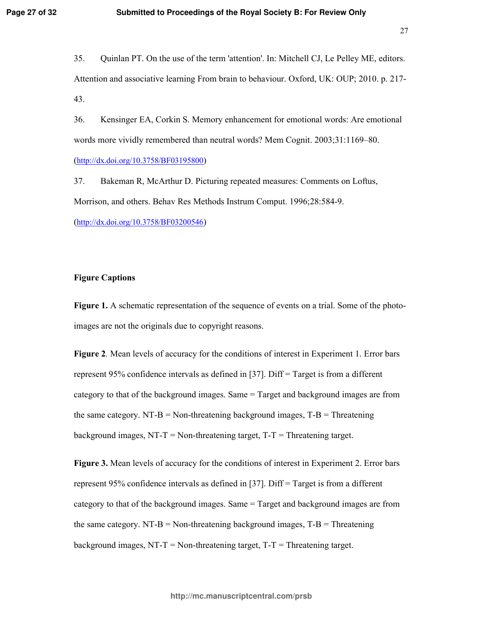35. Quinlan PT. On the use of the term 'attention'. In: Mitchell CJ, Le Pelley ME, editors. Attention and associative learning From brain to behaviour. Oxford, UK: OUP; 2010. p. 217-43.

 $36.$ Kensinger EA, Corkin S. Memory enhancement for emotional words: Are emotional words more vividly remembered than neutral words? Mem Cognit. 2003;31:1169–80.

 $(http://dx.doi.org/10.3758/BF03195800)$ 

37. Bakeman R, McArthur D. Picturing repeated measures: Comments on Loftus, Morrison, and others. Behav Res Methods Instrum Comput. 1996;28:584-9.

 $(http://dx.doi.org/10.3758/BF03200546)$ 

## **Figure Captions**

**Figure 1.** A schematic representation of the sequence of events on a trial. Some of the photoimages are not the originals due to copyright reasons.

**Figure 2.** Mean levels of accuracy for the conditions of interest in Experiment 1. Error bars represent 95% confidence intervals as defined in [37]. Diff = Target is from a different category to that of the background images. Same  $=$  Target and background images are from the same category. NT-B = Non-threatening background images,  $T-B$  = Threatening background images, NT-T = Non-threatening target,  $T-T$  = Threatening target.

**Figure 3.** Mean levels of accuracy for the conditions of interest in Experiment 2. Error bars represent 95% confidence intervals as defined in [37]. Diff = Target is from a different category to that of the background images. Same  $=$  Target and background images are from the same category. NT-B = Non-threatening background images,  $T-B =$ Threatening background images, NT-T = Non-threatening target,  $T-T$  = Threatening target.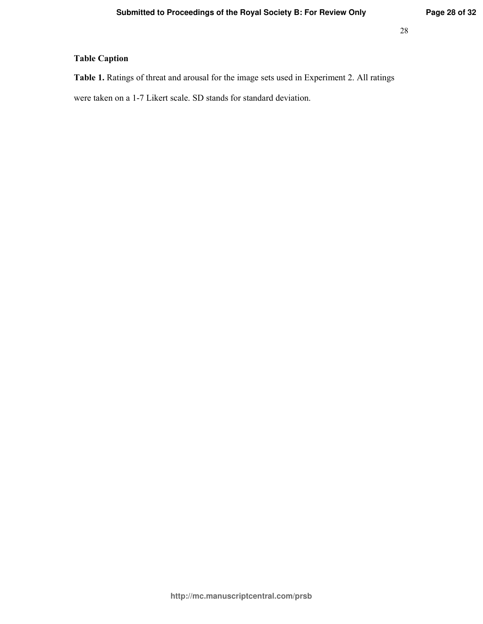# **Table Caption**

Table 1. Ratings of threat and arousal for the image sets used in Experiment 2. All ratings

were taken on a 1-7 Likert scale. SD stands for standard deviation.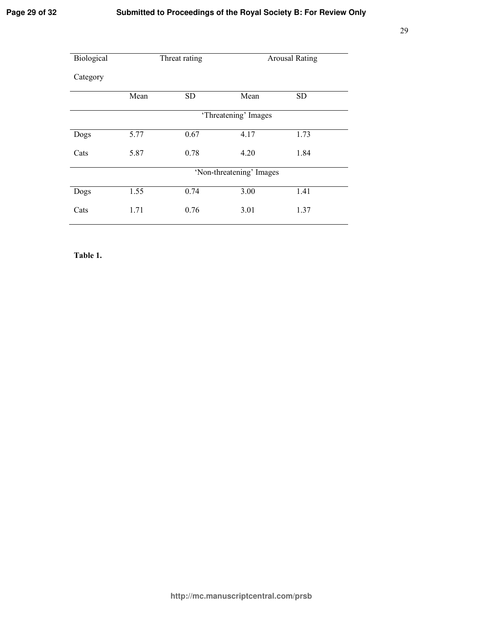# Submitted to Proceedings of the Royal Society B: For Review Only

| Biological | Threat rating            |           | <b>Arousal Rating</b> |           |  |  |
|------------|--------------------------|-----------|-----------------------|-----------|--|--|
| Category   |                          |           |                       |           |  |  |
|            | Mean                     | <b>SD</b> | Mean                  | <b>SD</b> |  |  |
|            | 'Threatening' Images     |           |                       |           |  |  |
| Dogs       | 5.77                     | 0.67      | 4.17                  | 1.73      |  |  |
| Cats       | 5.87                     | 0.78      | 4.20                  | 1.84      |  |  |
|            | 'Non-threatening' Images |           |                       |           |  |  |
| Dogs       | 1.55                     | 0.74      | 3.00                  | 1.41      |  |  |
| Cats       | 1.71                     | 0.76      | 3.01                  | 1.37      |  |  |

Table 1.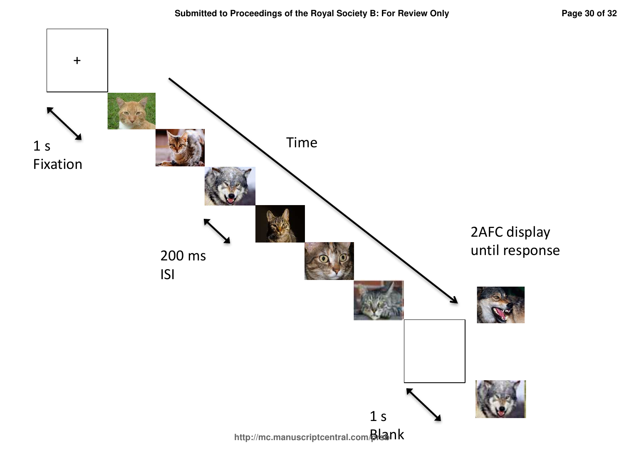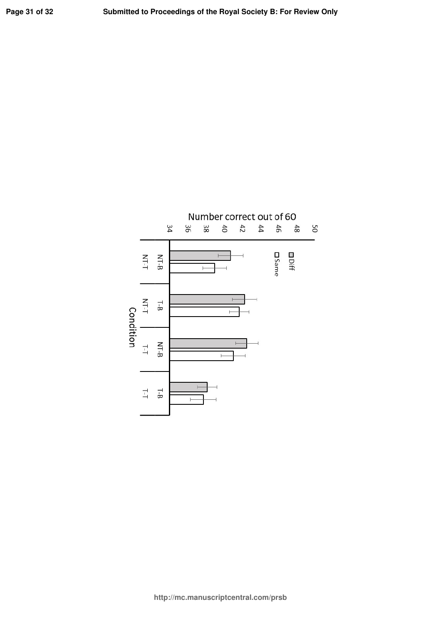